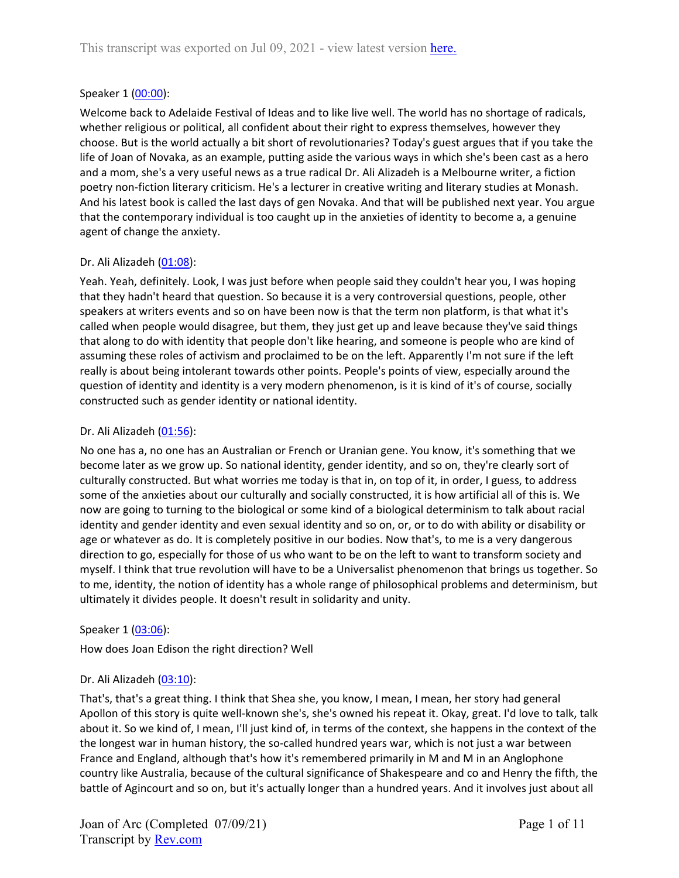### Speaker 1 ([00:00](https://www.rev.com/transcript-editor/Edit?token=HIsR-g2sRGwJ2AqGq9eDaBcO5sBPjWI3-f06-78iUMoANktSrceMcnUVQ2j_2inmZijQ3BFZ7iH5mFqSHFLYpupK7JU&loadFrom=DocumentDeeplink&ts=0.21)):

Welcome back to Adelaide Festival of Ideas and to like live well. The world has no shortage of radicals, whether religious or political, all confident about their right to express themselves, however they choose. But is the world actually a bit short of revolutionaries? Today's guest argues that if you take the life of Joan of Novaka, as an example, putting aside the various ways in which she's been cast as a hero and a mom, she's a very useful news as a true radical Dr. Ali Alizadeh is a Melbourne writer, a fiction poetry non-fiction literary criticism. He's a lecturer in creative writing and literary studies at Monash. And his latest book is called the last days of gen Novaka. And that will be published next year. You argue that the contemporary individual is too caught up in the anxieties of identity to become a, a genuine agent of change the anxiety.

## Dr. Ali Alizadeh ([01:08\)](https://www.rev.com/transcript-editor/Edit?token=qV-rtN0SbFE97IFhcC9iXudcb9XZ9tSbIW_R2Ko6IdnLJ7bOE7t2Yw8xHdQJx5peKSxH-4wQGLwECcM7eTLddgJEfJo&loadFrom=DocumentDeeplink&ts=68.24):

Yeah. Yeah, definitely. Look, I was just before when people said they couldn't hear you, I was hoping that they hadn't heard that question. So because it is a very controversial questions, people, other speakers at writers events and so on have been now is that the term non platform, is that what it's called when people would disagree, but them, they just get up and leave because they've said things that along to do with identity that people don't like hearing, and someone is people who are kind of assuming these roles of activism and proclaimed to be on the left. Apparently I'm not sure if the left really is about being intolerant towards other points. People's points of view, especially around the question of identity and identity is a very modern phenomenon, is it is kind of it's of course, socially constructed such as gender identity or national identity.

### Dr. Ali Alizadeh ([01:56\)](https://www.rev.com/transcript-editor/Edit?token=wwUtbpwyyiiQwlqi3SQaHTxMmuurHyW2hQlweU75F7XoZiGA-D4RcrwVJM0dUnXePzMp4CqVzYT1y7pWG_o4bF0qMtw&loadFrom=DocumentDeeplink&ts=116.87):

No one has a, no one has an Australian or French or Uranian gene. You know, it's something that we become later as we grow up. So national identity, gender identity, and so on, they're clearly sort of culturally constructed. But what worries me today is that in, on top of it, in order, I guess, to address some of the anxieties about our culturally and socially constructed, it is how artificial all of this is. We now are going to turning to the biological or some kind of a biological determinism to talk about racial identity and gender identity and even sexual identity and so on, or, or to do with ability or disability or age or whatever as do. It is completely positive in our bodies. Now that's, to me is a very dangerous direction to go, especially for those of us who want to be on the left to want to transform society and myself. I think that true revolution will have to be a Universalist phenomenon that brings us together. So to me, identity, the notion of identity has a whole range of philosophical problems and determinism, but ultimately it divides people. It doesn't result in solidarity and unity.

### Speaker 1 ([03:06](https://www.rev.com/transcript-editor/Edit?token=cjEMVRqjtT9YMYEFGraecHBvWLgI6hS6bFFpozaXvHfayUHMa4vJayzDHOvrLXMTY-HWRsw0hzht7OTzBhZksfFrV3Y&loadFrom=DocumentDeeplink&ts=186.12)):

How does Joan Edison the right direction? Well

# Dr. Ali Alizadeh ([03:10\)](https://www.rev.com/transcript-editor/Edit?token=06wsSFcmlFvp-MmaR6PO38nn9fiEm5vUwnwd2RFciyiwjUvbam6xb6mZ13Uq3KiZhocHymtgzB3Xv-8rp0oktgJwadg&loadFrom=DocumentDeeplink&ts=190.86):

That's, that's a great thing. I think that Shea she, you know, I mean, I mean, her story had general Apollon of this story is quite well-known she's, she's owned his repeat it. Okay, great. I'd love to talk, talk about it. So we kind of, I mean, I'll just kind of, in terms of the context, she happens in the context of the the longest war in human history, the so-called hundred years war, which is not just a war between France and England, although that's how it's remembered primarily in M and M in an Anglophone country like Australia, because of the cultural significance of Shakespeare and co and Henry the fifth, the battle of Agincourt and so on, but it's actually longer than a hundred years. And it involves just about all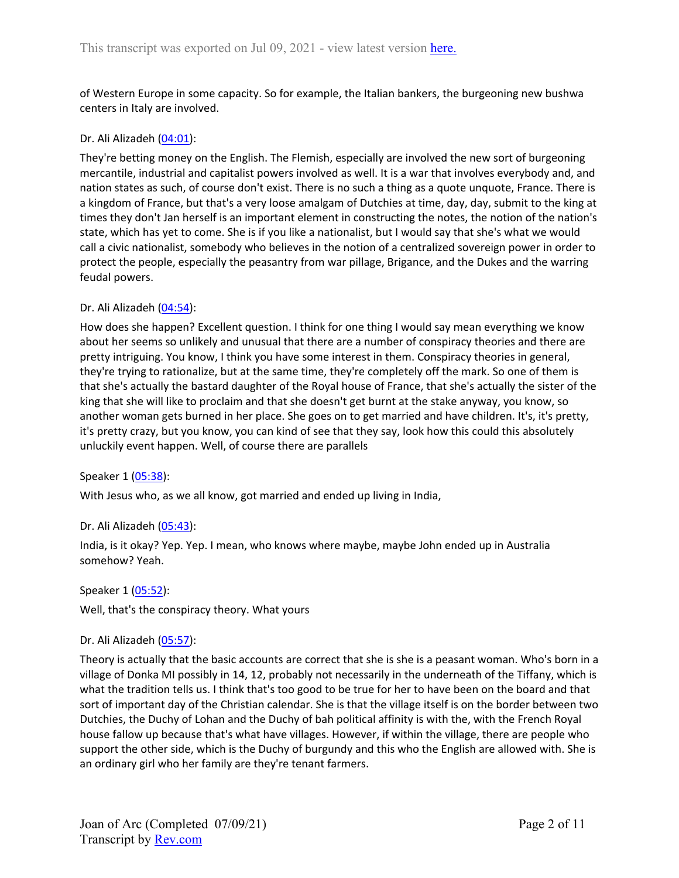of Western Europe in some capacity. So for example, the Italian bankers, the burgeoning new bushwa centers in Italy are involved.

### Dr. Ali Alizadeh ([04:01\)](https://www.rev.com/transcript-editor/Edit?token=-Bo0iErp7cZgt6ZGHqxV8wvC-eowos0uq9TZoB7ITQCSWv1PzUVk9Uefe8cAp7-FoE8QOF-L646TCUWeXrxVxY6f-Xo&loadFrom=DocumentDeeplink&ts=241.47):

They're betting money on the English. The Flemish, especially are involved the new sort of burgeoning mercantile, industrial and capitalist powers involved as well. It is a war that involves everybody and, and nation states as such, of course don't exist. There is no such a thing as a quote unquote, France. There is a kingdom of France, but that's a very loose amalgam of Dutchies at time, day, day, submit to the king at times they don't Jan herself is an important element in constructing the notes, the notion of the nation's state, which has yet to come. She is if you like a nationalist, but I would say that she's what we would call a civic nationalist, somebody who believes in the notion of a centralized sovereign power in order to protect the people, especially the peasantry from war pillage, Brigance, and the Dukes and the warring feudal powers.

### Dr. Ali Alizadeh ([04:54\)](https://www.rev.com/transcript-editor/Edit?token=XmAsQqsETZhWslOddSs4P9xRUusdoCJE8DfWzkbER5UQrf2Lqr5LlFhUHeKHdhCR5pUvk11A3Pdcar9iI6GuiaGfYaU&loadFrom=DocumentDeeplink&ts=294.78):

How does she happen? Excellent question. I think for one thing I would say mean everything we know about her seems so unlikely and unusual that there are a number of conspiracy theories and there are pretty intriguing. You know, I think you have some interest in them. Conspiracy theories in general, they're trying to rationalize, but at the same time, they're completely off the mark. So one of them is that she's actually the bastard daughter of the Royal house of France, that she's actually the sister of the king that she will like to proclaim and that she doesn't get burnt at the stake anyway, you know, so another woman gets burned in her place. She goes on to get married and have children. It's, it's pretty, it's pretty crazy, but you know, you can kind of see that they say, look how this could this absolutely unluckily event happen. Well, of course there are parallels

#### Speaker 1 ([05:38](https://www.rev.com/transcript-editor/Edit?token=oIjioGMP_VSspHEiRQYAqw_m80qW-7WKlXwNkODe9jREOYQiZxER0xWVj9Aa2FAeJj6u-IZS8FdK1UkQ5P7rKmuGBKY&loadFrom=DocumentDeeplink&ts=338.94)):

With Jesus who, as we all know, got married and ended up living in India,

### Dr. Ali Alizadeh ([05:43\)](https://www.rev.com/transcript-editor/Edit?token=ff3J6rJbddHa-ld9xgPFauZGhiYye6cAYnKB6vja54EzNjbIsYmC69CT9FVs7HXf6PulnCLY-_GJAg7oXd48kLIKaSs&loadFrom=DocumentDeeplink&ts=343.68):

India, is it okay? Yep. Yep. I mean, who knows where maybe, maybe John ended up in Australia somehow? Yeah.

#### Speaker 1 ([05:52](https://www.rev.com/transcript-editor/Edit?token=sru-jwwa7jqqsPk4gKb-_POgDtMiuHju9_A0Q_vVoTAiMvXDSby9xF7OInqBTEtVEAjRRQnjpFghl-fK9cx0bC9ffpo&loadFrom=DocumentDeeplink&ts=352.68)):

Well, that's the conspiracy theory. What yours

### Dr. Ali Alizadeh ([05:57\)](https://www.rev.com/transcript-editor/Edit?token=KievcdnZqjYgNGW8iu3w3HkdoBunbe258ROiDtqo3feXMDZVJEXKcYqIyZGKuXgHDeLW29fkTuPHSk9fo3A9QhAQr3s&loadFrom=DocumentDeeplink&ts=357.42):

Theory is actually that the basic accounts are correct that she is she is a peasant woman. Who's born in a village of Donka MI possibly in 14, 12, probably not necessarily in the underneath of the Tiffany, which is what the tradition tells us. I think that's too good to be true for her to have been on the board and that sort of important day of the Christian calendar. She is that the village itself is on the border between two Dutchies, the Duchy of Lohan and the Duchy of bah political affinity is with the, with the French Royal house fallow up because that's what have villages. However, if within the village, there are people who support the other side, which is the Duchy of burgundy and this who the English are allowed with. She is an ordinary girl who her family are they're tenant farmers.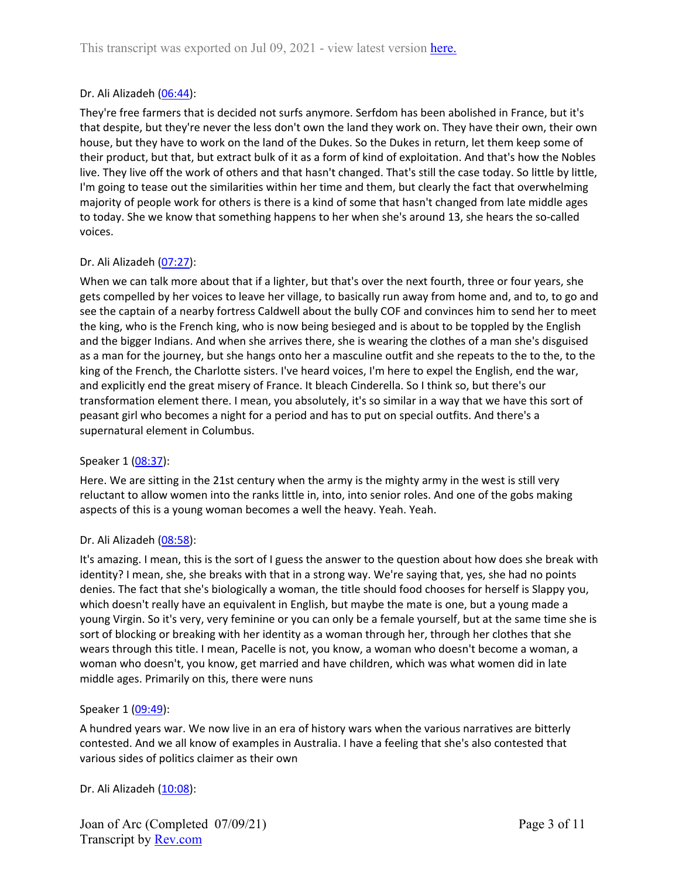## Dr. Ali Alizadeh ([06:44\)](https://www.rev.com/transcript-editor/Edit?token=QvmNWaFIf1JFHgmWlDRBv04oeisZqE9t_r2qHdt_wSQm4fYgabMTr-eW4-IfQ8zvoudox0Be8urOPj3YSQI58Tjp53M&loadFrom=DocumentDeeplink&ts=404.81):

They're free farmers that is decided not surfs anymore. Serfdom has been abolished in France, but it's that despite, but they're never the less don't own the land they work on. They have their own, their own house, but they have to work on the land of the Dukes. So the Dukes in return, let them keep some of their product, but that, but extract bulk of it as a form of kind of exploitation. And that's how the Nobles live. They live off the work of others and that hasn't changed. That's still the case today. So little by little, I'm going to tease out the similarities within her time and them, but clearly the fact that overwhelming majority of people work for others is there is a kind of some that hasn't changed from late middle ages to today. She we know that something happens to her when she's around 13, she hears the so-called voices.

## Dr. Ali Alizadeh ([07:27\)](https://www.rev.com/transcript-editor/Edit?token=Jk441jfzADW6IZLzpP83PDvEx0-2bnJDPVFNnzd58kYGijMDtslwPQ2eDBjm6vifRlbKkgBABrIbG4lW_LJGmhq09ls&loadFrom=DocumentDeeplink&ts=447.38):

When we can talk more about that if a lighter, but that's over the next fourth, three or four years, she gets compelled by her voices to leave her village, to basically run away from home and, and to, to go and see the captain of a nearby fortress Caldwell about the bully COF and convinces him to send her to meet the king, who is the French king, who is now being besieged and is about to be toppled by the English and the bigger Indians. And when she arrives there, she is wearing the clothes of a man she's disguised as a man for the journey, but she hangs onto her a masculine outfit and she repeats to the to the, to the king of the French, the Charlotte sisters. I've heard voices, I'm here to expel the English, end the war, and explicitly end the great misery of France. It bleach Cinderella. So I think so, but there's our transformation element there. I mean, you absolutely, it's so similar in a way that we have this sort of peasant girl who becomes a night for a period and has to put on special outfits. And there's a supernatural element in Columbus.

### Speaker 1 ([08:37](https://www.rev.com/transcript-editor/Edit?token=Z3HCgxNQPtNQ0MaUpc4ZFzMM4CFMZE65edZrKPFGPUUQBe3TQd68kPYvOm0C9ZF1dEckm_eV_9WkNKtDD7yJIrIaiAQ&loadFrom=DocumentDeeplink&ts=517.77)):

Here. We are sitting in the 21st century when the army is the mighty army in the west is still very reluctant to allow women into the ranks little in, into, into senior roles. And one of the gobs making aspects of this is a young woman becomes a well the heavy. Yeah. Yeah.

### Dr. Ali Alizadeh ([08:58\)](https://www.rev.com/transcript-editor/Edit?token=qQc2zaNoof7SXWUga--sVLsiK5_I6qeV6qREKVsYRFpVXpJYThAy9t09ZZkVCHu5uDPODZuYQIo0HxmGSIhczOu8m7E&loadFrom=DocumentDeeplink&ts=538.13):

It's amazing. I mean, this is the sort of I guess the answer to the question about how does she break with identity? I mean, she, she breaks with that in a strong way. We're saying that, yes, she had no points denies. The fact that she's biologically a woman, the title should food chooses for herself is Slappy you, which doesn't really have an equivalent in English, but maybe the mate is one, but a young made a young Virgin. So it's very, very feminine or you can only be a female yourself, but at the same time she is sort of blocking or breaking with her identity as a woman through her, through her clothes that she wears through this title. I mean, Pacelle is not, you know, a woman who doesn't become a woman, a woman who doesn't, you know, get married and have children, which was what women did in late middle ages. Primarily on this, there were nuns

### Speaker 1 ([09:49](https://www.rev.com/transcript-editor/Edit?token=EAu0JpPnwkvOkFzXtMjpgFC6k0EFErutn-Oxt7jH5FEDUEPw4EBV2iD_VDW1CdV6x-ncbJy09IlKoetma-m9oz4AlXg&loadFrom=DocumentDeeplink&ts=589.58)):

A hundred years war. We now live in an era of history wars when the various narratives are bitterly contested. And we all know of examples in Australia. I have a feeling that she's also contested that various sides of politics claimer as their own

Dr. Ali Alizadeh ([10:08\)](https://www.rev.com/transcript-editor/Edit?token=YJ2HWe2t8UOknmr1OI0NpwllU9LbEXSC14vrAJbuHpKAyr1LKW6-JlXR1QPey-BnKvNf6ww6Jrw7iVggDxyaRSIC5qY&loadFrom=DocumentDeeplink&ts=608.57):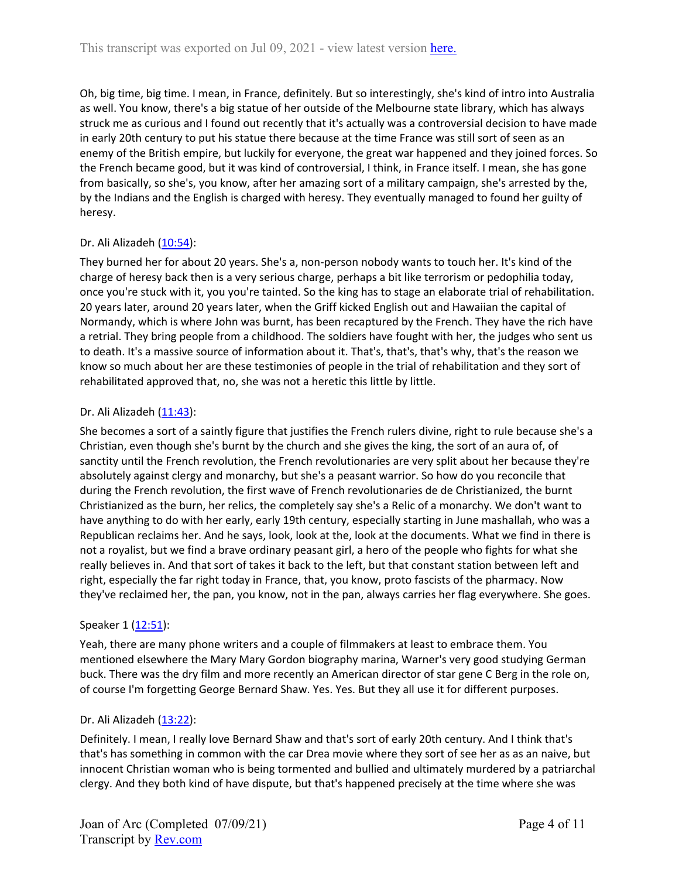Oh, big time, big time. I mean, in France, definitely. But so interestingly, she's kind of intro into Australia as well. You know, there's a big statue of her outside of the Melbourne state library, which has always struck me as curious and I found out recently that it's actually was a controversial decision to have made in early 20th century to put his statue there because at the time France was still sort of seen as an enemy of the British empire, but luckily for everyone, the great war happened and they joined forces. So the French became good, but it was kind of controversial, I think, in France itself. I mean, she has gone from basically, so she's, you know, after her amazing sort of a military campaign, she's arrested by the, by the Indians and the English is charged with heresy. They eventually managed to found her guilty of heresy.

# Dr. Ali Alizadeh ([10:54\)](https://www.rev.com/transcript-editor/Edit?token=VpJsWLcMZE7KmEB9xYrtcuQNApmVIzRDfHccluw-CTCZbFR5tJ3631OWY1t2M422NVCIgo0X2WvVM8QkW7K4jutCeVY&loadFrom=DocumentDeeplink&ts=654.53):

They burned her for about 20 years. She's a, non-person nobody wants to touch her. It's kind of the charge of heresy back then is a very serious charge, perhaps a bit like terrorism or pedophilia today, once you're stuck with it, you you're tainted. So the king has to stage an elaborate trial of rehabilitation. 20 years later, around 20 years later, when the Griff kicked English out and Hawaiian the capital of Normandy, which is where John was burnt, has been recaptured by the French. They have the rich have a retrial. They bring people from a childhood. The soldiers have fought with her, the judges who sent us to death. It's a massive source of information about it. That's, that's, that's why, that's the reason we know so much about her are these testimonies of people in the trial of rehabilitation and they sort of rehabilitated approved that, no, she was not a heretic this little by little.

# Dr. Ali Alizadeh ([11:43\)](https://www.rev.com/transcript-editor/Edit?token=Nmi6MkobaWFDzS_3Y0O9f5mkyfdBW0prxKmD9TD0XTIBfN6TYLmY7lcqc0pgo1X1jiftu7zhMz3S97r09H3hQ2hPu0E&loadFrom=DocumentDeeplink&ts=703.73):

She becomes a sort of a saintly figure that justifies the French rulers divine, right to rule because she's a Christian, even though she's burnt by the church and she gives the king, the sort of an aura of, of sanctity until the French revolution, the French revolutionaries are very split about her because they're absolutely against clergy and monarchy, but she's a peasant warrior. So how do you reconcile that during the French revolution, the first wave of French revolutionaries de de Christianized, the burnt Christianized as the burn, her relics, the completely say she's a Relic of a monarchy. We don't want to have anything to do with her early, early 19th century, especially starting in June mashallah, who was a Republican reclaims her. And he says, look, look at the, look at the documents. What we find in there is not a royalist, but we find a brave ordinary peasant girl, a hero of the people who fights for what she really believes in. And that sort of takes it back to the left, but that constant station between left and right, especially the far right today in France, that, you know, proto fascists of the pharmacy. Now they've reclaimed her, the pan, you know, not in the pan, always carries her flag everywhere. She goes.

# Speaker 1 ([12:51](https://www.rev.com/transcript-editor/Edit?token=2IK8T58y1baKDuYM4hlqNixKCbZIQ493VCmNsMnXV9nd77GtmryZv8fsnxfaWuERvREY4QnwZDOrme84E65Nsi4XwPc&loadFrom=DocumentDeeplink&ts=771.94)):

Yeah, there are many phone writers and a couple of filmmakers at least to embrace them. You mentioned elsewhere the Mary Mary Gordon biography marina, Warner's very good studying German buck. There was the dry film and more recently an American director of star gene C Berg in the role on, of course I'm forgetting George Bernard Shaw. Yes. Yes. But they all use it for different purposes.

### Dr. Ali Alizadeh ([13:22\)](https://www.rev.com/transcript-editor/Edit?token=94Jkumo56HzVX6NLY5fXKuQAuPkFkRDaIyvl7eQtxuptW3PMjthHD0SPmgWNd0IBZneZVNad8EGqSUCfgFz9S5bbt7o&loadFrom=DocumentDeeplink&ts=802.71):

Definitely. I mean, I really love Bernard Shaw and that's sort of early 20th century. And I think that's that's has something in common with the car Drea movie where they sort of see her as as an naive, but innocent Christian woman who is being tormented and bullied and ultimately murdered by a patriarchal clergy. And they both kind of have dispute, but that's happened precisely at the time where she was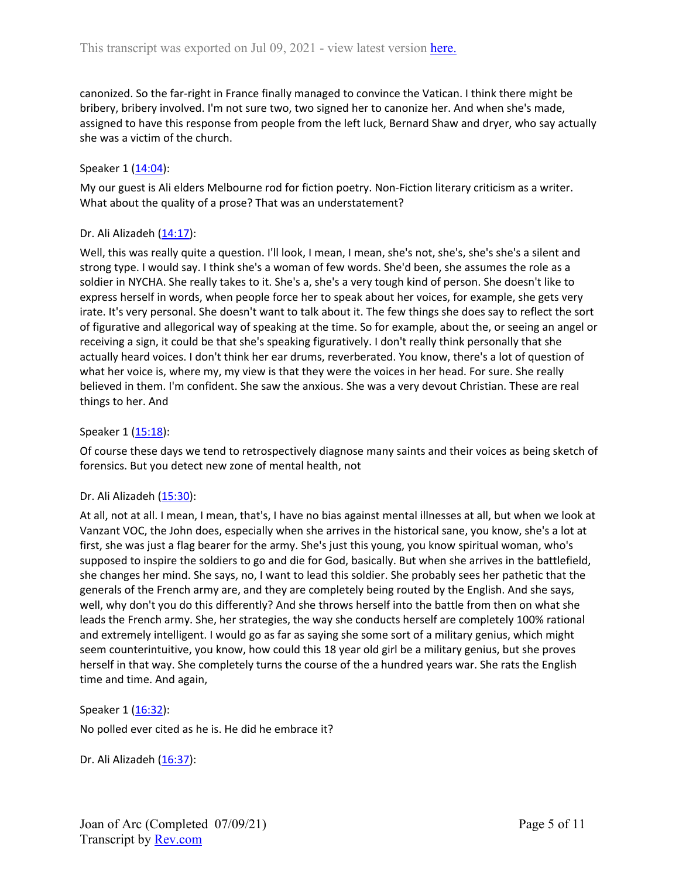canonized. So the far-right in France finally managed to convince the Vatican. I think there might be bribery, bribery involved. I'm not sure two, two signed her to canonize her. And when she's made, assigned to have this response from people from the left luck, Bernard Shaw and dryer, who say actually she was a victim of the church.

## Speaker 1 ([14:04](https://www.rev.com/transcript-editor/Edit?token=LFfwEB309SR5D6L16xcbpbjk3MRw1JoMQzNEWRQjRKhO38AbAdDb0Rcv9TeKlycIJe5m2YYU4iXJJ7wUt4raZ_IFRrA&loadFrom=DocumentDeeplink&ts=844.26)):

My our guest is Ali elders Melbourne rod for fiction poetry. Non-Fiction literary criticism as a writer. What about the quality of a prose? That was an understatement?

### Dr. Ali Alizadeh ([14:17\)](https://www.rev.com/transcript-editor/Edit?token=KSzRG9eDZ_9euwNEHX650HzAbnJFLu7pZpYVrqMkvQHwRnqmpjMadZHtHzQ5jSRMYmF1OayGI5pg6_6YJKZgFPZ-c2M&loadFrom=DocumentDeeplink&ts=857.13):

Well, this was really quite a question. I'll look, I mean, I mean, she's not, she's, she's she's a silent and strong type. I would say. I think she's a woman of few words. She'd been, she assumes the role as a soldier in NYCHA. She really takes to it. She's a, she's a very tough kind of person. She doesn't like to express herself in words, when people force her to speak about her voices, for example, she gets very irate. It's very personal. She doesn't want to talk about it. The few things she does say to reflect the sort of figurative and allegorical way of speaking at the time. So for example, about the, or seeing an angel or receiving a sign, it could be that she's speaking figuratively. I don't really think personally that she actually heard voices. I don't think her ear drums, reverberated. You know, there's a lot of question of what her voice is, where my, my view is that they were the voices in her head. For sure. She really believed in them. I'm confident. She saw the anxious. She was a very devout Christian. These are real things to her. And

### Speaker 1 ([15:18](https://www.rev.com/transcript-editor/Edit?token=0ciHQ80Bm0Uuna6nO-wxkIcRPYvMq7GL8OHRBWwVXDImh9v5I_Y8YIGu2KAmZIGHQG4Be_LQIUSyM708oDHk7pi5JAU&loadFrom=DocumentDeeplink&ts=918.73)):

Of course these days we tend to retrospectively diagnose many saints and their voices as being sketch of forensics. But you detect new zone of mental health, not

### Dr. Ali Alizadeh ([15:30\)](https://www.rev.com/transcript-editor/Edit?token=jJt40UnJxeHAqZz-J68KVV8eOOlieSmPq4SG2z5o0kxpqSN5D72aKGa-RyAXBr-nJWY_uTWWY9dAAYmiYyp0v2X4Myg&loadFrom=DocumentDeeplink&ts=930.88):

At all, not at all. I mean, I mean, that's, I have no bias against mental illnesses at all, but when we look at Vanzant VOC, the John does, especially when she arrives in the historical sane, you know, she's a lot at first, she was just a flag bearer for the army. She's just this young, you know spiritual woman, who's supposed to inspire the soldiers to go and die for God, basically. But when she arrives in the battlefield, she changes her mind. She says, no, I want to lead this soldier. She probably sees her pathetic that the generals of the French army are, and they are completely being routed by the English. And she says, well, why don't you do this differently? And she throws herself into the battle from then on what she leads the French army. She, her strategies, the way she conducts herself are completely 100% rational and extremely intelligent. I would go as far as saying she some sort of a military genius, which might seem counterintuitive, you know, how could this 18 year old girl be a military genius, but she proves herself in that way. She completely turns the course of the a hundred years war. She rats the English time and time. And again,

### Speaker 1 ([16:32](https://www.rev.com/transcript-editor/Edit?token=yTDQxfAYVoi_mX3SIC99AZ0wAKFkTXrjfMTmtOBxSv4orTTG3ZqupwgjFKRZpTFIGD8Qdhdy5xQBM7PlmCqNL9GL8rg&loadFrom=DocumentDeeplink&ts=992.56)):

No polled ever cited as he is. He did he embrace it?

Dr. Ali Alizadeh ([16:37\)](https://www.rev.com/transcript-editor/Edit?token=bzn80jkEqBVRFYxlfBPBRRYVm7zVV9NZ_roHar9nnA71dVyC87YgSdcWSeYUQUIRm6egUmIQTGuYDBLcdXulcdN5_XA&loadFrom=DocumentDeeplink&ts=997.87):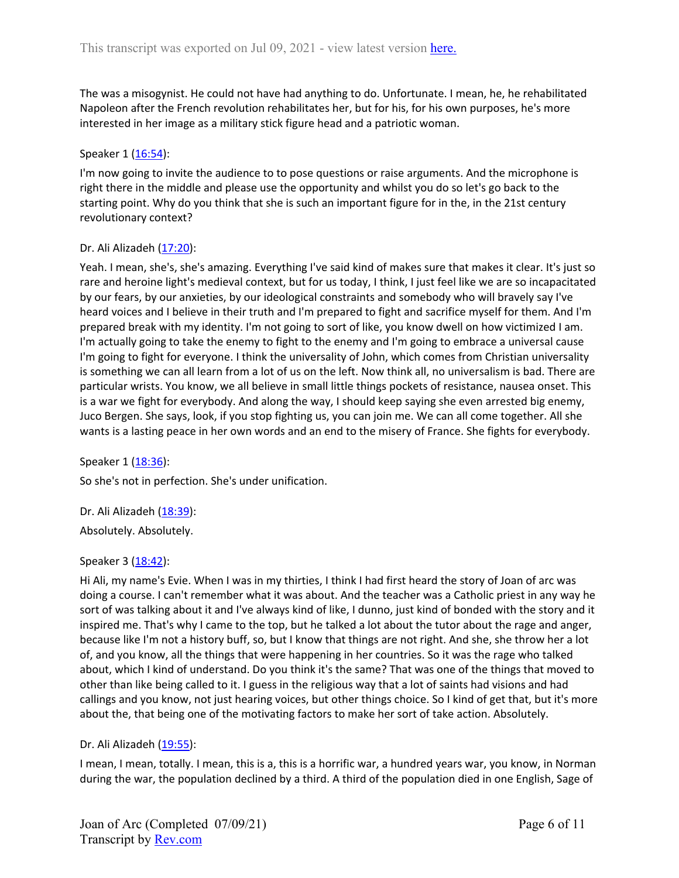The was a misogynist. He could not have had anything to do. Unfortunate. I mean, he, he rehabilitated Napoleon after the French revolution rehabilitates her, but for his, for his own purposes, he's more interested in her image as a military stick figure head and a patriotic woman.

### Speaker 1 ([16:54](https://www.rev.com/transcript-editor/Edit?token=KHsInUzKe1CJCf6-W1UN6QPBBIpaa6GK9WSn35rHlpNUAYtnunei-sUtmzmr7jqvqdPVpLv5L2QmhYDfxJQOIHyUswo&loadFrom=DocumentDeeplink&ts=1014.34)):

I'm now going to invite the audience to to pose questions or raise arguments. And the microphone is right there in the middle and please use the opportunity and whilst you do so let's go back to the starting point. Why do you think that she is such an important figure for in the, in the 21st century revolutionary context?

### Dr. Ali Alizadeh ([17:20\)](https://www.rev.com/transcript-editor/Edit?token=ykFK9nZmeAiO39hXwYdnKvOQaIyulocUBzIBJd0yJzkVxxZG4oif8F-9SDQwNQErP6DKh5N359EizIVVcOabsh52Dvc&loadFrom=DocumentDeeplink&ts=1040.86):

Yeah. I mean, she's, she's amazing. Everything I've said kind of makes sure that makes it clear. It's just so rare and heroine light's medieval context, but for us today, I think, I just feel like we are so incapacitated by our fears, by our anxieties, by our ideological constraints and somebody who will bravely say I've heard voices and I believe in their truth and I'm prepared to fight and sacrifice myself for them. And I'm prepared break with my identity. I'm not going to sort of like, you know dwell on how victimized I am. I'm actually going to take the enemy to fight to the enemy and I'm going to embrace a universal cause I'm going to fight for everyone. I think the universality of John, which comes from Christian universality is something we can all learn from a lot of us on the left. Now think all, no universalism is bad. There are particular wrists. You know, we all believe in small little things pockets of resistance, nausea onset. This is a war we fight for everybody. And along the way, I should keep saying she even arrested big enemy, Juco Bergen. She says, look, if you stop fighting us, you can join me. We can all come together. All she wants is a lasting peace in her own words and an end to the misery of France. She fights for everybody.

Speaker 1 ([18:36](https://www.rev.com/transcript-editor/Edit?token=0Sc2VqYgwjqO04MDfHIurhaypXXpbMaYO-s8OAVAXKzOQP-UeENvJYJulCqpHt5NSAxf1RwtoryxXZXOmNU_cHnxrhs&loadFrom=DocumentDeeplink&ts=1116.9)):

So she's not in perfection. She's under unification.

Dr. Ali Alizadeh ([18:39\)](https://www.rev.com/transcript-editor/Edit?token=SqLIO2GYBmTpUGxdFPPhi5KTYwcMBMdCIuDkQ8M4hSp6DEnDWeZq4x-FYzN0TZqEmZUPLZFmFSFC2Mmys-5NZHg_f_c&loadFrom=DocumentDeeplink&ts=1119.66): Absolutely. Absolutely.

### Speaker 3 ([18:42](https://www.rev.com/transcript-editor/Edit?token=eCMGxGk8h3qEV8FySYt1iR-1M4LMYymydBVcgdcjww2vhK2Gex2NH5b2wM2pL4IIwSyH5WhJhsusmk-O0kps_eHGRaY&loadFrom=DocumentDeeplink&ts=1122.5)):

Hi Ali, my name's Evie. When I was in my thirties, I think I had first heard the story of Joan of arc was doing a course. I can't remember what it was about. And the teacher was a Catholic priest in any way he sort of was talking about it and I've always kind of like, I dunno, just kind of bonded with the story and it inspired me. That's why I came to the top, but he talked a lot about the tutor about the rage and anger, because like I'm not a history buff, so, but I know that things are not right. And she, she throw her a lot of, and you know, all the things that were happening in her countries. So it was the rage who talked about, which I kind of understand. Do you think it's the same? That was one of the things that moved to other than like being called to it. I guess in the religious way that a lot of saints had visions and had callings and you know, not just hearing voices, but other things choice. So I kind of get that, but it's more about the, that being one of the motivating factors to make her sort of take action. Absolutely.

### Dr. Ali Alizadeh ([19:55\)](https://www.rev.com/transcript-editor/Edit?token=LIHgTq7LHoLCptzz4NfWsbeN-8n2A6JpzFOulhwLfY0JQNaCU06wPikkAJ3ZAZ45Z1500TaFEKu8otFEzGpEjuFmoF8&loadFrom=DocumentDeeplink&ts=1195.7):

I mean, I mean, totally. I mean, this is a, this is a horrific war, a hundred years war, you know, in Norman during the war, the population declined by a third. A third of the population died in one English, Sage of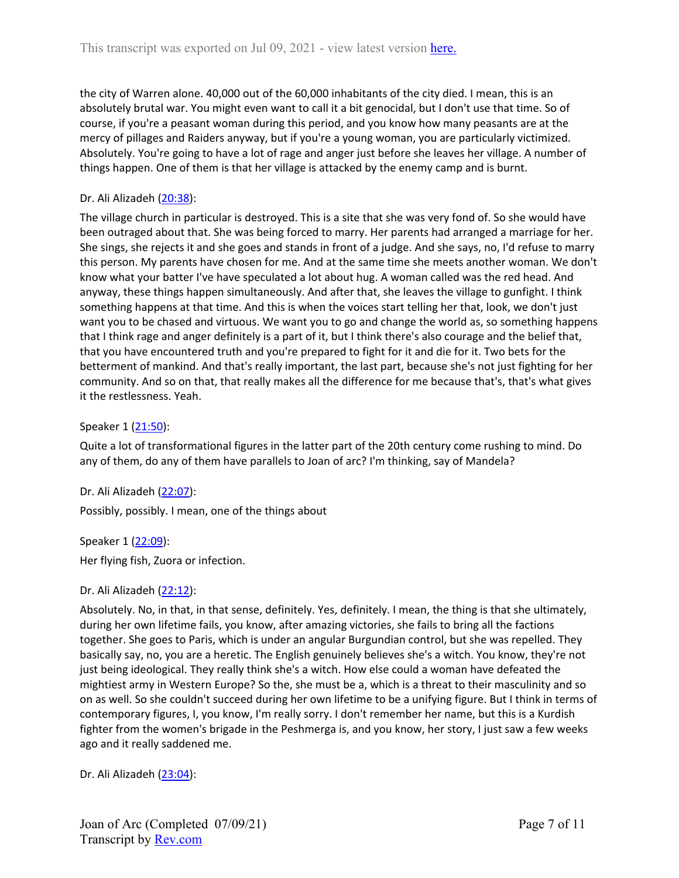the city of Warren alone. 40,000 out of the 60,000 inhabitants of the city died. I mean, this is an absolutely brutal war. You might even want to call it a bit genocidal, but I don't use that time. So of course, if you're a peasant woman during this period, and you know how many peasants are at the mercy of pillages and Raiders anyway, but if you're a young woman, you are particularly victimized. Absolutely. You're going to have a lot of rage and anger just before she leaves her village. A number of things happen. One of them is that her village is attacked by the enemy camp and is burnt.

## Dr. Ali Alizadeh ([20:38\)](https://www.rev.com/transcript-editor/Edit?token=Ian1eR1vLFzb-kmqIyhndy_4KQVfmOdLN4I2dS6T8e9I__PUEaOS_ZEk6uUtM-kDIgX0L6LW-E57l6_6vAdbUNK_k_4&loadFrom=DocumentDeeplink&ts=1238.58):

The village church in particular is destroyed. This is a site that she was very fond of. So she would have been outraged about that. She was being forced to marry. Her parents had arranged a marriage for her. She sings, she rejects it and she goes and stands in front of a judge. And she says, no, I'd refuse to marry this person. My parents have chosen for me. And at the same time she meets another woman. We don't know what your batter I've have speculated a lot about hug. A woman called was the red head. And anyway, these things happen simultaneously. And after that, she leaves the village to gunfight. I think something happens at that time. And this is when the voices start telling her that, look, we don't just want you to be chased and virtuous. We want you to go and change the world as, so something happens that I think rage and anger definitely is a part of it, but I think there's also courage and the belief that, that you have encountered truth and you're prepared to fight for it and die for it. Two bets for the betterment of mankind. And that's really important, the last part, because she's not just fighting for her community. And so on that, that really makes all the difference for me because that's, that's what gives it the restlessness. Yeah.

## Speaker 1 ([21:50](https://www.rev.com/transcript-editor/Edit?token=9woeCBiZDi5WKxMv_vg2LIyqlNGNPr86IiedGuWFRmhtyCVvRYmSjUpbYfOV7HVzYpIHYEWhVHqvW2UcROhWdW1LPvw&loadFrom=DocumentDeeplink&ts=1310.19)):

Quite a lot of transformational figures in the latter part of the 20th century come rushing to mind. Do any of them, do any of them have parallels to Joan of arc? I'm thinking, say of Mandela?

Dr. Ali Alizadeh ([22:07\)](https://www.rev.com/transcript-editor/Edit?token=wxRkypZaDQa3UQ2xtiDnZeYSblOLZoKNOZIQkSIGAwOfX2z4a0m3doW5TPQLHhWUpKN5xbfnw4fvD5Q38NKpXrmg9WU&loadFrom=DocumentDeeplink&ts=1327.53):

Possibly, possibly. I mean, one of the things about

Speaker 1 ([22:09](https://www.rev.com/transcript-editor/Edit?token=iknRLVH5cpYVekqN_TDX3Pika-zHXZ0edWPNccQP2juDuHZBE-vNAibbnuPkzQWOVkrr4p1atgLks_6-GOsfrpRPTac&loadFrom=DocumentDeeplink&ts=1329.84)):

Her flying fish, Zuora or infection.

### Dr. Ali Alizadeh ([22:12\)](https://www.rev.com/transcript-editor/Edit?token=Phew8U4H2k67zZlMkMtrNPzbZbLSa1elrzXqmCqmw9gRYYMvib9XUrzSsdJgVCgMcddOnbuC-xX8d4yYTn_HjCebt2c&loadFrom=DocumentDeeplink&ts=1332):

Absolutely. No, in that, in that sense, definitely. Yes, definitely. I mean, the thing is that she ultimately, during her own lifetime fails, you know, after amazing victories, she fails to bring all the factions together. She goes to Paris, which is under an angular Burgundian control, but she was repelled. They basically say, no, you are a heretic. The English genuinely believes she's a witch. You know, they're not just being ideological. They really think she's a witch. How else could a woman have defeated the mightiest army in Western Europe? So the, she must be a, which is a threat to their masculinity and so on as well. So she couldn't succeed during her own lifetime to be a unifying figure. But I think in terms of contemporary figures, I, you know, I'm really sorry. I don't remember her name, but this is a Kurdish fighter from the women's brigade in the Peshmerga is, and you know, her story, I just saw a few weeks ago and it really saddened me.

Dr. Ali Alizadeh ([23:04\)](https://www.rev.com/transcript-editor/Edit?token=87BGuwt5ri_1zC80i3-XnzelCNRiIyQ_wVNNl4IfzRNoTFbFJXsM1Jd_8G_khPHmKDCqiAX2HaJlmrTN3arOva_eaiw&loadFrom=DocumentDeeplink&ts=1384.2):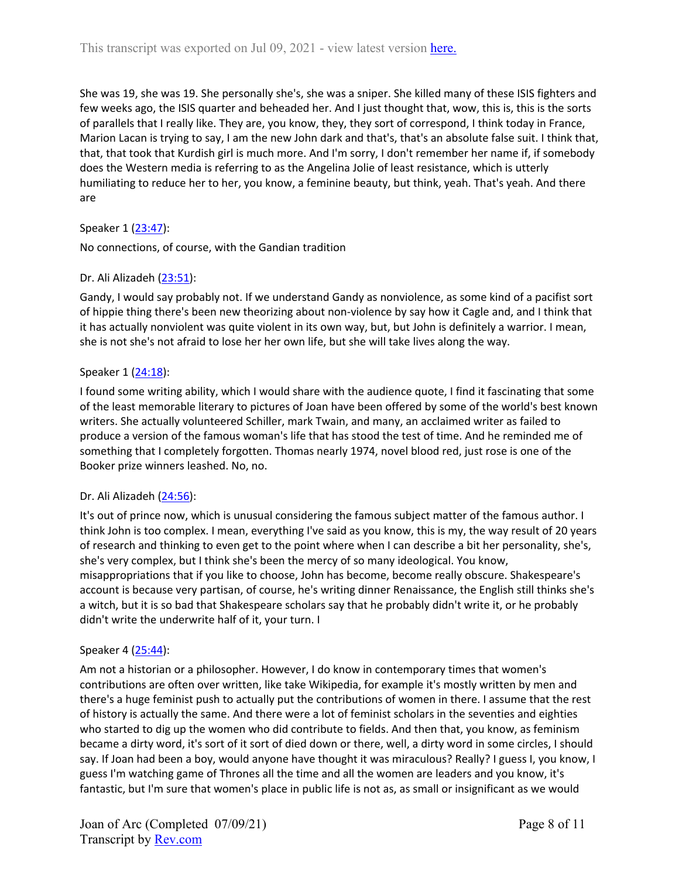She was 19, she was 19. She personally she's, she was a sniper. She killed many of these ISIS fighters and few weeks ago, the ISIS quarter and beheaded her. And I just thought that, wow, this is, this is the sorts of parallels that I really like. They are, you know, they, they sort of correspond, I think today in France, Marion Lacan is trying to say, I am the new John dark and that's, that's an absolute false suit. I think that, that, that took that Kurdish girl is much more. And I'm sorry, I don't remember her name if, if somebody does the Western media is referring to as the Angelina Jolie of least resistance, which is utterly humiliating to reduce her to her, you know, a feminine beauty, but think, yeah. That's yeah. And there are

### Speaker 1 ([23:47](https://www.rev.com/transcript-editor/Edit?token=JIgJslJPghsEUFBoXPH33jGPTSvXAyNT4NwTtA64_d7wGoaQg5MqI47Wb2D9_vPLz6ZTUpo2uFYY7yOo-6mXLr_KWR0&loadFrom=DocumentDeeplink&ts=1427.84)):

No connections, of course, with the Gandian tradition

## Dr. Ali Alizadeh ([23:51\)](https://www.rev.com/transcript-editor/Edit?token=V_7HochavqeDy-A74sXPPJwijqPrqLsXSAailL7f5t3Opum39sSuX0KOPvUmli49TsNU1bt7HCBJh2OvOrxyV8JpjwI&loadFrom=DocumentDeeplink&ts=1431.59):

Gandy, I would say probably not. If we understand Gandy as nonviolence, as some kind of a pacifist sort of hippie thing there's been new theorizing about non-violence by say how it Cagle and, and I think that it has actually nonviolent was quite violent in its own way, but, but John is definitely a warrior. I mean, she is not she's not afraid to lose her her own life, but she will take lives along the way.

### Speaker 1 ([24:18](https://www.rev.com/transcript-editor/Edit?token=TVf4NJV8M-Eln29Nvtc7g3dzdF95wpD65NrzPTOQ9wv0jhZtloogj-COO942V6dyvK_LqkpFWcSyNwjHJyl-kJCtwLg&loadFrom=DocumentDeeplink&ts=1458.17)):

I found some writing ability, which I would share with the audience quote, I find it fascinating that some of the least memorable literary to pictures of Joan have been offered by some of the world's best known writers. She actually volunteered Schiller, mark Twain, and many, an acclaimed writer as failed to produce a version of the famous woman's life that has stood the test of time. And he reminded me of something that I completely forgotten. Thomas nearly 1974, novel blood red, just rose is one of the Booker prize winners leashed. No, no.

### Dr. Ali Alizadeh ([24:56\)](https://www.rev.com/transcript-editor/Edit?token=pAEJ9H3HsDcYJ3VUoQq1anNDowrqsbNLobp1cGoRDR5WSJMiancsmCwHTDs0OCEv49o6jf1GY1eyJIVtRPnLLi4NDDc&loadFrom=DocumentDeeplink&ts=1496.69):

It's out of prince now, which is unusual considering the famous subject matter of the famous author. I think John is too complex. I mean, everything I've said as you know, this is my, the way result of 20 years of research and thinking to even get to the point where when I can describe a bit her personality, she's, she's very complex, but I think she's been the mercy of so many ideological. You know, misappropriations that if you like to choose, John has become, become really obscure. Shakespeare's account is because very partisan, of course, he's writing dinner Renaissance, the English still thinks she's a witch, but it is so bad that Shakespeare scholars say that he probably didn't write it, or he probably didn't write the underwrite half of it, your turn. I

### Speaker 4 ([25:44](https://www.rev.com/transcript-editor/Edit?token=4ubhJa8_srB1YSF2Kpjdj1wj0X7jpDueiDxatJ9RMtBS_EvewWEI6hJs8KpxE8UgTRehM3LAj8b9JqdrWa_fU39HwlI&loadFrom=DocumentDeeplink&ts=1544.02)):

Am not a historian or a philosopher. However, I do know in contemporary times that women's contributions are often over written, like take Wikipedia, for example it's mostly written by men and there's a huge feminist push to actually put the contributions of women in there. I assume that the rest of history is actually the same. And there were a lot of feminist scholars in the seventies and eighties who started to dig up the women who did contribute to fields. And then that, you know, as feminism became a dirty word, it's sort of it sort of died down or there, well, a dirty word in some circles, I should say. If Joan had been a boy, would anyone have thought it was miraculous? Really? I guess I, you know, I guess I'm watching game of Thrones all the time and all the women are leaders and you know, it's fantastic, but I'm sure that women's place in public life is not as, as small or insignificant as we would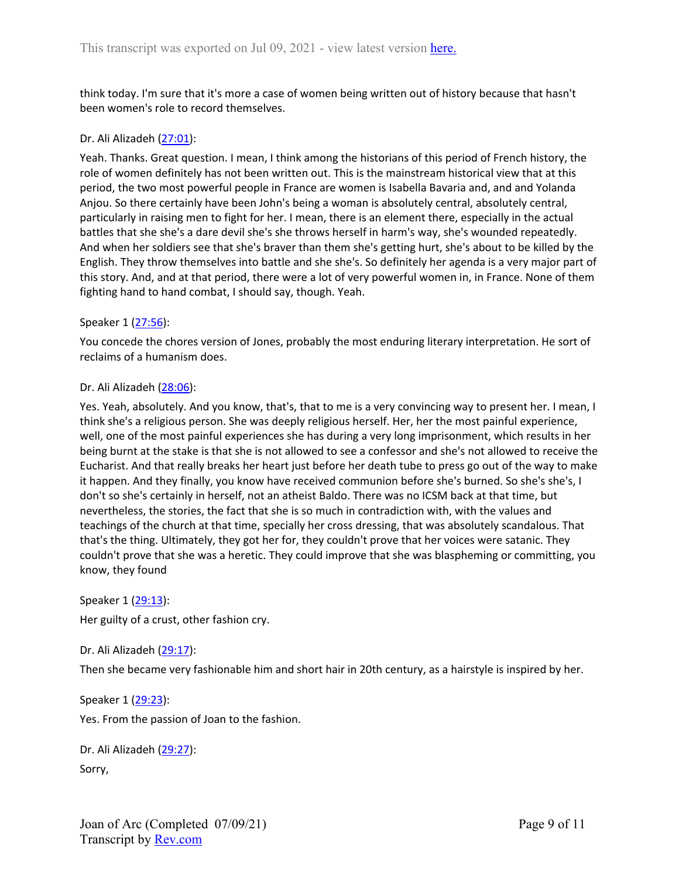think today. I'm sure that it's more a case of women being written out of history because that hasn't been women's role to record themselves.

### Dr. Ali Alizadeh ([27:01\)](https://www.rev.com/transcript-editor/Edit?token=Q1zyYplYf8z0hxzQL35ur6c9UZ_kcw2xzMpOEsEX8vAwy1reOpo3DnAP0w2GcsCOiubBVJRVjldZSrX6IUNgO7d9Aoo&loadFrom=DocumentDeeplink&ts=1621.37):

Yeah. Thanks. Great question. I mean, I think among the historians of this period of French history, the role of women definitely has not been written out. This is the mainstream historical view that at this period, the two most powerful people in France are women is Isabella Bavaria and, and and Yolanda Anjou. So there certainly have been John's being a woman is absolutely central, absolutely central, particularly in raising men to fight for her. I mean, there is an element there, especially in the actual battles that she she's a dare devil she's she throws herself in harm's way, she's wounded repeatedly. And when her soldiers see that she's braver than them she's getting hurt, she's about to be killed by the English. They throw themselves into battle and she she's. So definitely her agenda is a very major part of this story. And, and at that period, there were a lot of very powerful women in, in France. None of them fighting hand to hand combat, I should say, though. Yeah.

#### Speaker 1 ([27:56](https://www.rev.com/transcript-editor/Edit?token=eyOsHewuHVopsuK1gCJT7eVStj0Ddzow5cHSzSAmzWCPnohbvLz-hXIqCvcHZK_DPln0tMPaJYkwLtTHnvgc9vO6NGU&loadFrom=DocumentDeeplink&ts=1676.63)):

You concede the chores version of Jones, probably the most enduring literary interpretation. He sort of reclaims of a humanism does.

#### Dr. Ali Alizadeh ([28:06\)](https://www.rev.com/transcript-editor/Edit?token=syw1MYKexqrEXrCOHOIVLTQrU8rZZduS0YMaUoatOsA19Ys-hbLfvjCBEqJRzTyDsQfLNsRZC83RBgZv5iaYe9Btn8s&loadFrom=DocumentDeeplink&ts=1686.95):

Yes. Yeah, absolutely. And you know, that's, that to me is a very convincing way to present her. I mean, I think she's a religious person. She was deeply religious herself. Her, her the most painful experience, well, one of the most painful experiences she has during a very long imprisonment, which results in her being burnt at the stake is that she is not allowed to see a confessor and she's not allowed to receive the Eucharist. And that really breaks her heart just before her death tube to press go out of the way to make it happen. And they finally, you know have received communion before she's burned. So she's she's, I don't so she's certainly in herself, not an atheist Baldo. There was no ICSM back at that time, but nevertheless, the stories, the fact that she is so much in contradiction with, with the values and teachings of the church at that time, specially her cross dressing, that was absolutely scandalous. That that's the thing. Ultimately, they got her for, they couldn't prove that her voices were satanic. They couldn't prove that she was a heretic. They could improve that she was blaspheming or committing, you know, they found

Speaker 1 ([29:13](https://www.rev.com/transcript-editor/Edit?token=ZkGHxUUUmtZgLrjNnwKiHRiYB7EXKmw5jZuhu2auJhqUUPqZ7MTX3mrDYWLA2KaNJylkNsbTEZfa9W9kgGQXkmHAzhU&loadFrom=DocumentDeeplink&ts=1753.01)): Her guilty of a crust, other fashion cry.

### Dr. Ali Alizadeh ([29:17\)](https://www.rev.com/transcript-editor/Edit?token=Wtc3JyNw_1UGKdxNM1FQE5oAnsWUnTxzCMnmBhZqayqulDxIuLwQqmZToYKdenLeEpGhDmSdvzNgaIiXRPL5Od4LTsE&loadFrom=DocumentDeeplink&ts=1757.93):

Then she became very fashionable him and short hair in 20th century, as a hairstyle is inspired by her.

### Speaker 1 ([29:23](https://www.rev.com/transcript-editor/Edit?token=kvfiXBz8oNrmMc5x4IFnobskQb9nyEtkyuTPr8v3BMKUefk631gLydSudBlU4w0K2z3MteatXUUlnzvDmoVeAGAIJCg&loadFrom=DocumentDeeplink&ts=1763.84)):

Yes. From the passion of Joan to the fashion.

Dr. Ali Alizadeh ([29:27\)](https://www.rev.com/transcript-editor/Edit?token=b1EInh0xCRFd0Fp3mLT844Av-HRn68am1bgM97OR6LoSL2AVMq3PQLST918kBEBIk0vkfaoViYbLba9h9VF0GUdWdaE&loadFrom=DocumentDeeplink&ts=1767.74): Sorry,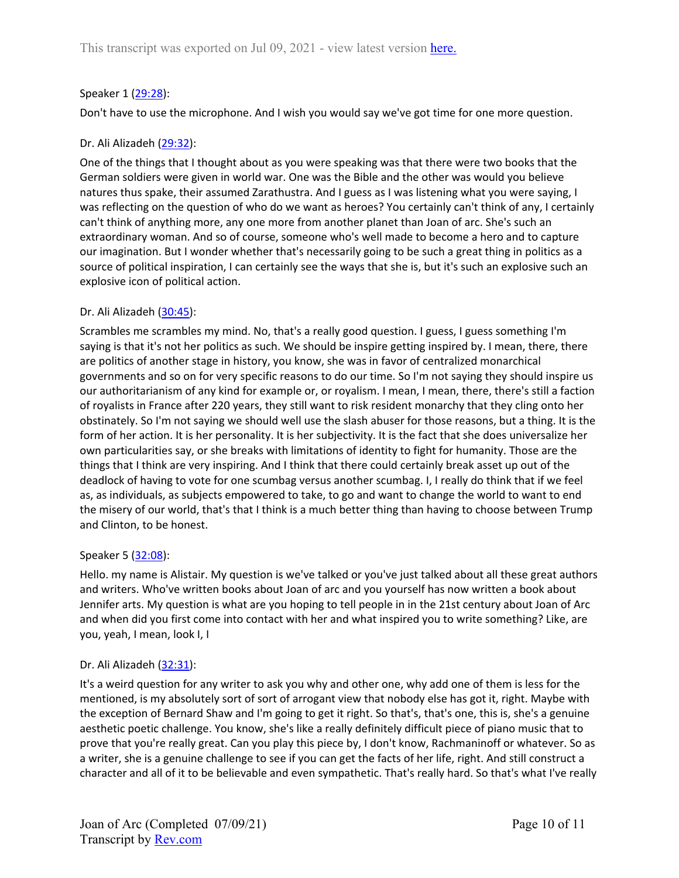## Speaker 1 ([29:28](https://www.rev.com/transcript-editor/Edit?token=T4_d_zf0Ps_9EjjNb8RmMmdLD_Mhd8eY0NtV1t22H_lIWHSShCc2Y24RoOU4J65SvixnVUKWa1CLbr9wjXzRxho1qdM&loadFrom=DocumentDeeplink&ts=1768.52)):

Don't have to use the microphone. And I wish you would say we've got time for one more question.

## Dr. Ali Alizadeh ([29:32\)](https://www.rev.com/transcript-editor/Edit?token=dbe8mF8VNcMUdzRfyTBRBeJ6bCHkvv4TxRpZV09Ra4IghM4LFdyIMhsqqaWgnJob2gW5QjZpoCmzB50T0yzFyx-6I1E&loadFrom=DocumentDeeplink&ts=1772.84):

One of the things that I thought about as you were speaking was that there were two books that the German soldiers were given in world war. One was the Bible and the other was would you believe natures thus spake, their assumed Zarathustra. And I guess as I was listening what you were saying, I was reflecting on the question of who do we want as heroes? You certainly can't think of any, I certainly can't think of anything more, any one more from another planet than Joan of arc. She's such an extraordinary woman. And so of course, someone who's well made to become a hero and to capture our imagination. But I wonder whether that's necessarily going to be such a great thing in politics as a source of political inspiration, I can certainly see the ways that she is, but it's such an explosive such an explosive icon of political action.

### Dr. Ali Alizadeh ([30:45\)](https://www.rev.com/transcript-editor/Edit?token=TOtNmDoB6HQSRelvxi3kG2qIqwc_9q5wWhW0qmKJgwe6V8Mr0QgaeUUpnlta2VIPXNfbe4_r7_PqGe2f_DH0dIyVVMI&loadFrom=DocumentDeeplink&ts=1845.04):

Scrambles me scrambles my mind. No, that's a really good question. I guess, I guess something I'm saying is that it's not her politics as such. We should be inspire getting inspired by. I mean, there, there are politics of another stage in history, you know, she was in favor of centralized monarchical governments and so on for very specific reasons to do our time. So I'm not saying they should inspire us our authoritarianism of any kind for example or, or royalism. I mean, I mean, there, there's still a faction of royalists in France after 220 years, they still want to risk resident monarchy that they cling onto her obstinately. So I'm not saying we should well use the slash abuser for those reasons, but a thing. It is the form of her action. It is her personality. It is her subjectivity. It is the fact that she does universalize her own particularities say, or she breaks with limitations of identity to fight for humanity. Those are the things that I think are very inspiring. And I think that there could certainly break asset up out of the deadlock of having to vote for one scumbag versus another scumbag. I, I really do think that if we feel as, as individuals, as subjects empowered to take, to go and want to change the world to want to end the misery of our world, that's that I think is a much better thing than having to choose between Trump and Clinton, to be honest.

### Speaker 5 ([32:08](https://www.rev.com/transcript-editor/Edit?token=pQc5_YvpB1UlL3yTn8S3r8FH2dTZJMBdRrmsfv0GCAV2zjGsggl110H5fUZc6K03FtdYd11bOTs4GTd4TwJC8l3v65M&loadFrom=DocumentDeeplink&ts=1928.01)):

Hello. my name is Alistair. My question is we've talked or you've just talked about all these great authors and writers. Who've written books about Joan of arc and you yourself has now written a book about Jennifer arts. My question is what are you hoping to tell people in in the 21st century about Joan of Arc and when did you first come into contact with her and what inspired you to write something? Like, are you, yeah, I mean, look I, I

### Dr. Ali Alizadeh ([32:31\)](https://www.rev.com/transcript-editor/Edit?token=Xh1vFp2bge0L9Dypb0J7TLVpGe6O2N6r7DVGhpEKbA0boenh8Yf_rdLRuycSMiy7jAnHrn3buh-UZ0a96H6IHx3NsO0&loadFrom=DocumentDeeplink&ts=1951.83):

It's a weird question for any writer to ask you why and other one, why add one of them is less for the mentioned, is my absolutely sort of sort of arrogant view that nobody else has got it, right. Maybe with the exception of Bernard Shaw and I'm going to get it right. So that's, that's one, this is, she's a genuine aesthetic poetic challenge. You know, she's like a really definitely difficult piece of piano music that to prove that you're really great. Can you play this piece by, I don't know, Rachmaninoff or whatever. So as a writer, she is a genuine challenge to see if you can get the facts of her life, right. And still construct a character and all of it to be believable and even sympathetic. That's really hard. So that's what I've really